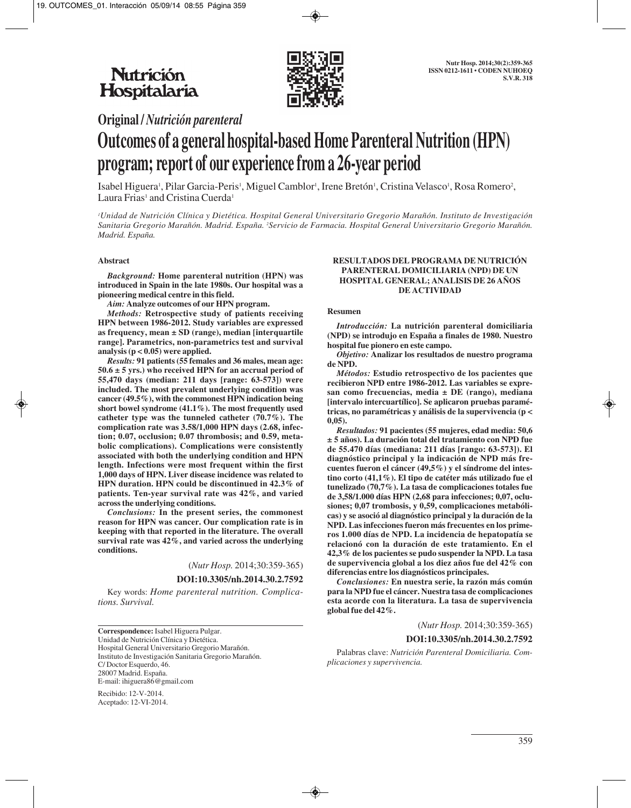

**Original /** *Nutrición parenteral*

# **Outcomes of a general hospital-based Home Parenteral Nutrition (HPN) program; report of our experience from a 26-year period**

Isabel Higuera', Pilar Garcia-Peris', Miguel Camblor', Irene Bretón', Cristina Velasco', Rosa Romero<sup>2</sup>, Laura Frias<sup>1</sup> and Cristina Cuerda<sup>1</sup>

*1 Unidad de Nutrición Clínica y Dietética. Hospital General Universitario Gregorio Marañón. Instituto de Investigación* Sanitaria Gregorio Marañón. Madrid. España. <sup>2</sup>Servicio de Farmacia. Hospital General Universitario Gregorio Marañón. *Madrid. España.*

## **Abstract**

*Background:* **Home parenteral nutrition (HPN) was introduced in Spain in the late 1980s. Our hospital was a pioneering medical centre in this field.** 

*Aim:* **Analyze outcomes of our HPN program.**

*Methods:* **Retrospective study of patients receiving HPN between 1986-2012. Study variables are expressed as frequency, mean ± SD (range), median [interquartile range]. Parametrics, non-parametrics test and survival analysis (p < 0.05) were applied.** 

*Results:* **91 patients (55 females and 36 males, mean age: 50.6 ± 5 yrs.) who received HPN for an accrual period of 55,470 days (median: 211 days [range: 63-573]) were included. The most prevalent underlying condition was cancer (49.5%), with the commonest HPN indication being short bowel syndrome (41.1%). The most frequently used catheter type was the tunneled catheter (70.7%). The complication rate was 3.58/1,000 HPN days (2.68, infection; 0.07, occlusion; 0.07 thrombosis; and 0.59, metabolic complications). Complications were consistently associated with both the underlying condition and HPN length. Infections were most frequent within the first 1,000 days of HPN. Liver disease incidence was related to HPN duration. HPN could be discontinued in 42.3% of patients. Ten-year survival rate was 42%, and varied across the underlying conditions.**

*Conclusions:* **In the present series, the commonest reason for HPN was cancer. Our complication rate is in keeping with that reported in the literature. The overall survival rate was 42%, and varied across the underlying conditions.**

(*Nutr Hosp.* 2014;30:359-365)

**DOI:10.3305/nh.2014.30.2.7592**

Key words: *Home parenteral nutrition. Complications. Survival.*

**Correspondence:** Isabel Higuera Pulgar. Unidad de Nutrición Clínica y Dietética. Hospital General Universitario Gregorio Marañón. Instituto de Investigación Sanitaria Gregorio Marañón. C/Doctor Esquerdo, 46. 28007 Madrid. España. E-mail: ihiguera86@gmail.com

Recibido: 12-V-2014. Aceptado: 12-VI-2014.

#### **RESULTADOS DEL PROGRAMA DE NUTRICIÓN PARENTERAL DOMICILIARIA (NPD) DE UN HOSPITAL GENERAL; ANALISIS DE 26 AÑOS DE ACTIVIDAD**

#### **Resumen**

*Introducción:* **La nutrición parenteral domiciliaria (NPD) se introdujo en España a finales de 1980. Nuestro hospital fue pionero en este campo.**

*Objetivo:* **Analizar los resultados de nuestro programa de NPD.**

*Métodos:* **Estudio retrospectivo de los pacientes que recibieron NPD entre 1986-2012. Las variables se expresan como frecuencias, media ± DE (rango), mediana [intervalo intercuartílico]. Se aplicaron pruebas paramétricas, no paramétricas y análisis de la supervivencia (p < 0,05).**

*Resultados:* **91 pacientes (55 mujeres, edad media: 50,6 ± 5 años). La duración total del tratamiento con NPD fue de 55.470 días (mediana: 211 días [rango: 63-573]). El diagnóstico principal y la indicación de NPD más frecuentes fueron el cáncer (49,5%) y el síndrome del intestino corto (41,1%). El tipo de catéter más utilizado fue el tunelizado (70,7%). La tasa de complicaciones totales fue de 3,58/1.000 días HPN (2,68 para infecciones; 0,07, oclusiones; 0,07 trombosis, y 0,59, complicaciones metabólicas) y se asoció al diagnóstico principal y la duración de la NPD. Las infecciones fueron más frecuentes en los primeros 1.000 días de NPD. La incidencia de hepatopatía se relacionó con la duración de este tratamiento. En el 42,3% de los pacientes se pudo suspender la NPD. La tasa de supervivencia global a los diez años fue del 42% con diferencias entre los diagnósticos principales.**

*Conclusiones:* **En nuestra serie, la razón más común para la NPD fue el cáncer. Nuestra tasa de complicaciones esta acorde con la literatura. La tasa de supervivencia global fue del 42%.**

# (*Nutr Hosp.* 2014;30:359-365)

## **DOI:10.3305/nh.2014.30.2.7592**

Palabras clave: *Nutrición Parenteral Domiciliaria. Complicaciones y supervivencia.*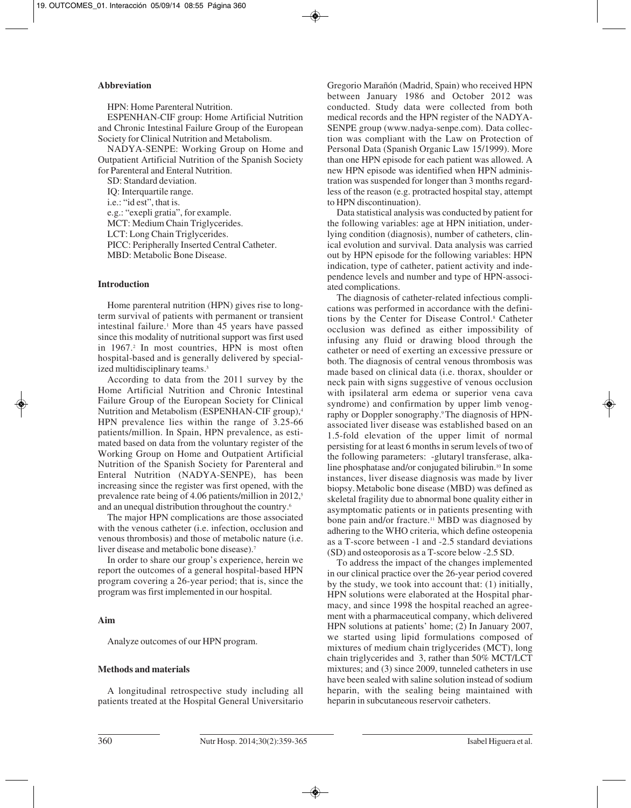#### **Abbreviation**

HPN: Home Parenteral Nutrition.

ESPENHAN-CIF group: Home Artificial Nutrition and Chronic Intestinal Failure Group of the European Society for Clinical Nutrition and Metabolism.

NADYA-SENPE: Working Group on Home and Outpatient Artificial Nutrition of the Spanish Society for Parenteral and Enteral Nutrition.

SD: Standard deviation.

IQ: Interquartile range. i.e.: "id est", that is. e.g.: "exepli gratia", for example. MCT: Medium Chain Triglycerides. LCT: Long Chain Triglycerides.

PICC: Peripherally Inserted Central Catheter.

MBD: Metabolic Bone Disease.

#### **Introduction**

Home parenteral nutrition (HPN) gives rise to longterm survival of patients with permanent or transient intestinal failure.<sup>1</sup> More than 45 years have passed since this modality of nutritional support was first used in 1967.<sup>2</sup> In most countries, HPN is most often hospital-based and is generally delivered by specialized multidisciplinary teams.<sup>3</sup>

According to data from the 2011 survey by the Home Artificial Nutrition and Chronic Intestinal Failure Group of the European Society for Clinical Nutrition and Metabolism (ESPENHAN-CIF group),<sup>4</sup> HPN prevalence lies within the range of 3.25-66 patients/million. In Spain, HPN prevalence, as estimated based on data from the voluntary register of the Working Group on Home and Outpatient Artificial Nutrition of the Spanish Society for Parenteral and Enteral Nutrition (NADYA-SENPE), has been increasing since the register was first opened, with the prevalence rate being of 4.06 patients/million in 2012,<sup>5</sup> and an unequal distribution throughout the country.<sup>6</sup>

The major HPN complications are those associated with the venous catheter *(i.e. infection, occlusion and* venous thrombosis) and those of metabolic nature (i.e. liver disease and metabolic bone disease).7

In order to share our group's experience, herein we report the outcomes of a general hospital-based HPN program covering a 26-year period; that is, since the program was first implemented in our hospital.

## **Aim**

Analyze outcomes of our HPN program.

#### **Methods and materials**

A longitudinal retrospective study including all patients treated at the Hospital General Universitario Gregorio Marañón (Madrid, Spain) who received HPN between January 1986 and October 2012 was conducted. Study data were collected from both medical records and the HPN register of the NADYA-SENPE group (www.nadya-senpe.com). Data collection was compliant with the Law on Protection of Personal Data (Spanish Organic Law 15/1999). More than one HPN episode for each patient was allowed. A new HPN episode was identified when HPN administration was suspended for longer than 3 months regardless of the reason (e.g. protracted hospital stay, attempt to HPN discontinuation).

Data statistical analysis was conducted by patient for the following variables: age at HPN initiation, underlying condition (diagnosis), number of catheters, clinical evolution and survival. Data analysis was carried out by HPN episode for the following variables: HPN indication, type of catheter, patient activity and independence levels and number and type of HPN-associated complications.

The diagnosis of catheter-related infectious complications was performed in accordance with the definitions by the Center for Disease Control.8 Catheter occlusion was defined as either impossibility of infusing any fluid or drawing blood through the catheter or need of exerting an excessive pressure or both. The diagnosis of central venous thrombosis was made based on clinical data (i.e. thorax, shoulder or neck pain with signs suggestive of venous occlusion with ipsilateral arm edema or superior vena cava syndrome) and confirmation by upper limb venography or Doppler sonography.9 The diagnosis of HPNassociated liver disease was established based on an 1.5-fold elevation of the upper limit of normal persisting for at least 6 months in serum levels of two of the following parameters: -glutaryl transferase, alkaline phosphatase and/or conjugated bilirubin.<sup>10</sup> In some instances, liver disease diagnosis was made by liver biopsy.Metabolic bone disease (MBD) was defined as skeletal fragility due to abnormal bone quality either in asymptomatic patients or in patients presenting with bone pain and/or fracture.<sup>11</sup> MBD was diagnosed by adhering to the WHO criteria, which define osteopenia as a T-score between -1 and -2.5 standard deviations (SD) and osteoporosis as a T-score below -2.5 SD.

To address the impact of the changes implemented in our clinical practice over the 26-year period covered by the study, we took into account that: (1) initially, HPN solutions were elaborated at the Hospital pharmacy, and since 1998 the hospital reached an agreement with a pharmaceutical company, which delivered HPN solutions at patients' home; (2) In January 2007, we started using lipid formulations composed of mixtures of medium chain triglycerides (MCT), long chain triglycerides and 3, rather than 50% MCT/LCT mixtures; and (3) since 2009, tunneled catheters in use have been sealed with saline solution instead of sodium heparin, with the sealing being maintained with heparin in subcutaneous reservoir catheters.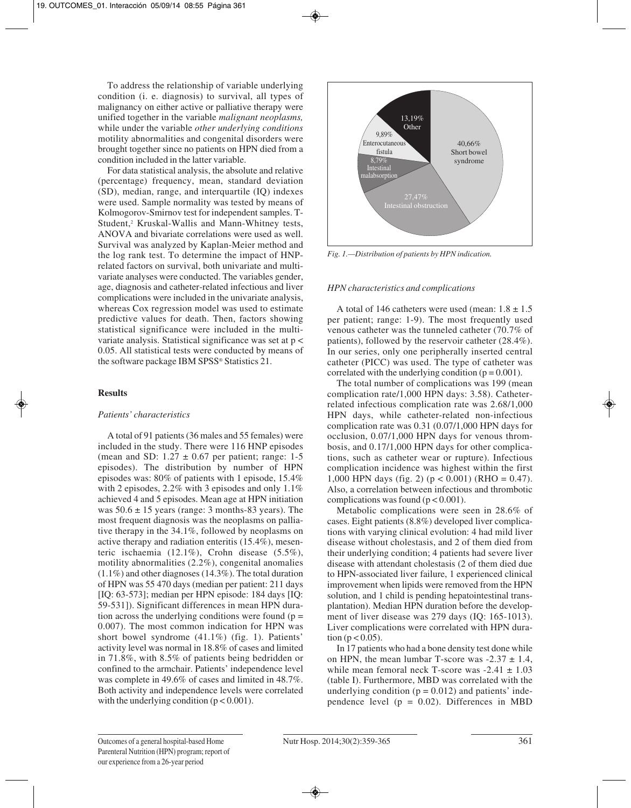To address the relationship of variable underlying condition (i. e. diagnosis) to survival, all types of malignancy on either active or palliative therapy were unified together in the variable *malignant neoplasms,* while under the variable *other underlying conditions* motility abnormalities and congenital disorders were brought together since no patients on HPN died from a condition included in the latter variable.

For data statistical analysis, the absolute and relative (percentage) frequency, mean, standard deviation (SD), median, range, and interquartile (IQ) indexes were used. Sample normality was tested by means of Kolmogorov-Smirnov test for independent samples. T-Student,<sup>2</sup> Kruskal-Wallis and Mann-Whitney tests, ANOVA and bivariate correlations were used as well. Survival was analyzed by Kaplan-Meier method and the log rank test. To determine the impact of HNPrelated factors on survival, both univariate and multivariate analyses were conducted. The variables gender, age, diagnosis and catheter-related infectious and liver complications were included in the univariate analysis, whereas Cox regression model was used to estimate predictive values for death. Then, factors showing statistical significance were included in the multivariate analysis. Statistical significance was set at p < 0.05. All statistical tests were conducted by means of the software package IBM SPSS® Statistics 21.

# **Results**

## *Patients' characteristics*

A total of 91 patients (36 males and 55 females) were included in the study. There were 116 HNP episodes (mean and SD:  $1.27 \pm 0.67$  per patient; range: 1-5 episodes). The distribution by number of HPN episodes was: 80% of patients with 1 episode, 15.4% with 2 episodes, 2.2% with 3 episodes and only 1.1% achieved 4 and 5 episodes. Mean age at HPN initiation was  $50.6 \pm 15$  years (range: 3 months-83 years). The most frequent diagnosis was the neoplasms on palliative therapy in the 34.1%, followed by neoplasms on active therapy and radiation enteritis (15.4%), mesenteric ischaemia (12.1%), Crohn disease (5.5%), motility abnormalities (2.2%), congenital anomalies (1.1%) and other diagnoses (14.3%). The total duration of HPN was 55 470 days (median per patient: 211 days [IQ: 63-573]; median per HPN episode: 184 days [IQ: 59-531]). Significant differences in mean HPN duration across the underlying conditions were found  $(p =$ 0.007). The most common indication for HPN was short bowel syndrome (41.1%) (fig. 1). Patients' activity level was normal in 18.8% of cases and limited in 71.8%, with 8.5% of patients being bedridden or confined to the armchair. Patients' independence level was complete in 49.6% of cases and limited in 48.7%. Both activity and independence levels were correlated with the underlying condition  $(p < 0.001)$ .



*Fig. 1.—Distribution of patients by HPN indication.*

# *HPN characteristics and complications*

A total of 146 catheters were used (mean:  $1.8 \pm 1.5$ ) per patient; range: 1-9). The most frequently used venous catheter was the tunneled catheter (70.7% of patients), followed by the reservoir catheter (28.4%). In our series, only one peripherally inserted central catheter (PICC) was used. The type of catheter was correlated with the underlying condition ( $p = 0.001$ ).

The total number of complications was 199 (mean complication rate/1,000 HPN days: 3.58). Catheterrelated infectious complication rate was 2.68/1,000 HPN days, while catheter-related non-infectious complication rate was 0.31 (0.07/1,000 HPN days for occlusion, 0.07/1,000 HPN days for venous thrombosis, and 0.17/1,000 HPN days for other complications, such as catheter wear or rupture). Infectious complication incidence was highest within the first 1,000 HPN days (fig. 2) ( $p < 0.001$ ) (RHO = 0.47). Also, a correlation between infectious and thrombotic complications was found ( $p < 0.001$ ).

Metabolic complications were seen in 28.6% of cases. Eight patients (8.8%) developed liver complications with varying clinical evolution: 4 had mild liver disease without cholestasis, and 2 of them died from their underlying condition; 4 patients had severe liver disease with attendant cholestasis (2 of them died due to HPN-associated liver failure, 1 experienced clinical improvement when lipids were removed from the HPN solution, and 1 child is pending hepatointestinal transplantation). Median HPN duration before the development of liver disease was 279 days (IQ: 165-1013). Liver complications were correlated with HPN duration ( $p < 0.05$ ).

In 17 patients who had a bone density test done while on HPN, the mean lumbar T-score was  $-2.37 \pm 1.4$ , while mean femoral neck T-score was  $-2.41 \pm 1.03$ (table I). Furthermore, MBD was correlated with the underlying condition  $(p = 0.012)$  and patients' independence level ( $p = 0.02$ ). Differences in MBD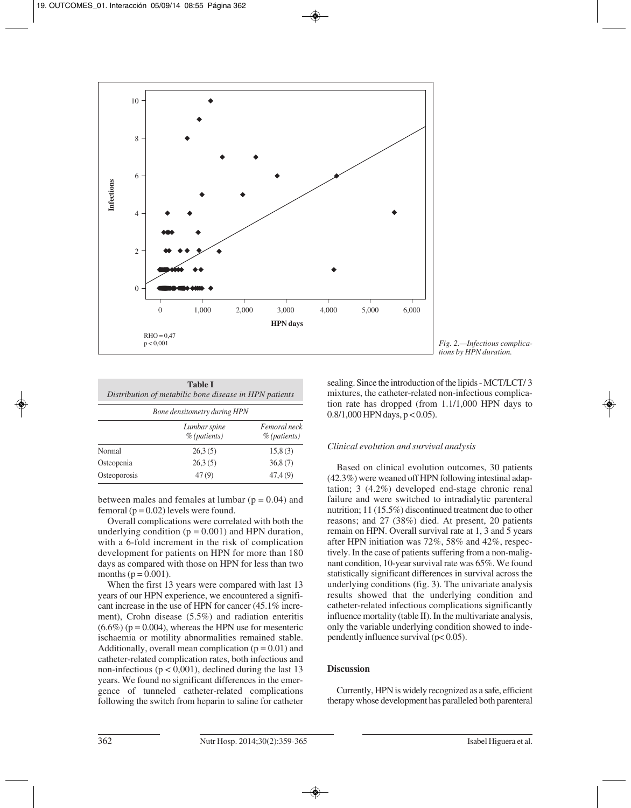

| Fig. 2.—Infectious complica- |
|------------------------------|
|                              |
|                              |
|                              |

| <b>Table I</b><br>Distribution of metabilic bone disease in HPN patients<br>Bone densitometry during HPN |         |         |  |
|----------------------------------------------------------------------------------------------------------|---------|---------|--|
|                                                                                                          |         |         |  |
| Normal                                                                                                   | 26,3(5) | 15,8(3) |  |
| Osteopenia                                                                                               | 26.3(5) | 36,8(7) |  |
| Osteoporosis                                                                                             | 47(9)   | 47,4(9) |  |

between males and females at lumbar ( $p = 0.04$ ) and femoral ( $p = 0.02$ ) levels were found.

Overall complications were correlated with both the underlying condition  $(p = 0.001)$  and HPN duration, with a 6-fold increment in the risk of complication development for patients on HPN for more than 180 days as compared with those on HPN for less than two months ( $p = 0.001$ ).

When the first 13 years were compared with last 13 years of our HPN experience, we encountered a significant increase in the use of HPN for cancer (45.1% increment), Crohn disease (5.5%) and radiation enteritis  $(6.6\%)$  (p = 0.004), whereas the HPN use for mesenteric ischaemia or motility abnormalities remained stable. Additionally, overall mean complication  $(p = 0.01)$  and catheter-related complication rates, both infectious and non-infectious ( $p < 0.001$ ), declined during the last 13 years. We found no significant differences in the emergence of tunneled catheter-related complications following the switch from heparin to saline for catheter sealing. Since the introduction of the lipids - MCT/LCT/ 3 mixtures, the catheter-related non-infectious complication rate has dropped (from 1.1/1,000 HPN days to  $0.8/1,000$  HPN days,  $p < 0.05$ ).

# *Clinical evolution and survival analysis*

Based on clinical evolution outcomes, 30 patients (42.3%) were weaned off HPN following intestinal adaptation; 3 (4.2%) developed end-stage chronic renal failure and were switched to intradialytic parenteral nutrition; 11 (15.5%) discontinued treatment due to other reasons; and 27 (38%) died. At present, 20 patients remain on HPN. Overall survival rate at 1, 3 and 5 years after HPN initiation was 72%, 58% and 42%, respectively. In the case of patients suffering from a non-malignant condition, 10-year survival rate was 65%. We found statistically significant differences in survival across the underlying conditions (fig. 3). The univariate analysis results showed that the underlying condition and catheter-related infectious complications significantly influence mortality (table II). In the multivariate analysis, only the variable underlying condition showed to independently influence survival (p< 0.05).

# **Discussion**

Currently, HPN is widely recognized as a safe, efficient therapy whose development has paralleled both parenteral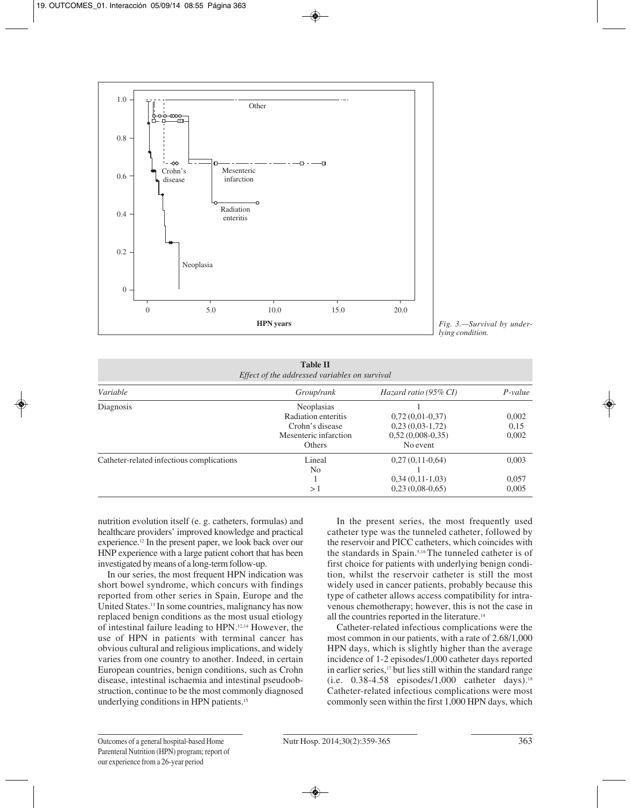



| <b>Table II</b><br>Effect of the addressed variables on survival |                                                           |                                                     |                |  |
|------------------------------------------------------------------|-----------------------------------------------------------|-----------------------------------------------------|----------------|--|
| Variable                                                         | Group/rank                                                | Hazard ratio (95% CI)                               | $P-value$      |  |
| Diagnosis                                                        | Neoplasias<br>Radiation enteritis                         | $0,72(0,01-0,37)$                                   | 0,002          |  |
|                                                                  | Crohn's disease<br>Mesenteric infarction<br><b>Others</b> | $0,23(0,03-1,72)$<br>$0,52(0,008-0,35)$<br>No event | 0.15<br>0,002  |  |
| Catheter-related infectious complications                        | Lineal<br>N <sub>0</sub>                                  | $0,27(0,11-0,64)$                                   | 0,003          |  |
|                                                                  | >1                                                        | $0,34(0,11-1,03)$<br>$0,23(0,08-0,65)$              | 0,057<br>0,005 |  |

nutrition evolution itself (e. g. catheters, formulas) and healthcare providers' improved knowledge and practical experience.12 In the present paper, we look back over our HNP experience with a large patient cohort that has been investigated by means of a long-term follow-up.

In our series, the most frequent HPN indication was short bowel syndrome, which concurs with findings reported from other series in Spain, Europe and the United States.13 In some countries, malignancy has now replaced benign conditions as the most usual etiology of intestinal failure leading to HPN.12,14 However, the use of HPN in patients with terminal cancer has obvious cultural and religious implications, and widely varies from one country to another. Indeed, in certain European countries, benign conditions, such as Crohn disease, intestinal ischaemia and intestinal pseudoobstruction, continue to be the most commonly diagnosed underlying conditions in HPN patients.15

In the present series, the most frequently used catheter type was the tunneled catheter, followed by the reservoir and PICC catheters, which coincides with the standards in Spain.5,16 The tunneled catheter is of first choice for patients with underlying benign condition, whilst the reservoir catheter is still the most widely used in cancer patients, probably because this type of catheter allows access compatibility for intravenous chemotherapy; however, this is not the case in all the countries reported in the literature.14

Catheter-related infectious complications were the most common in our patients, with a rate of 2.68/1,000 HPN days, which is slightly higher than the average incidence of 1-2 episodes/1,000 catheter days reported in earlier series,<sup>17</sup> but lies still within the standard range (i.e.  $0.38-4.58$  episodes/1,000 catheter days).<sup>18</sup> Catheter-related infectious complications were most commonly seen within the first 1,000 HPN days, which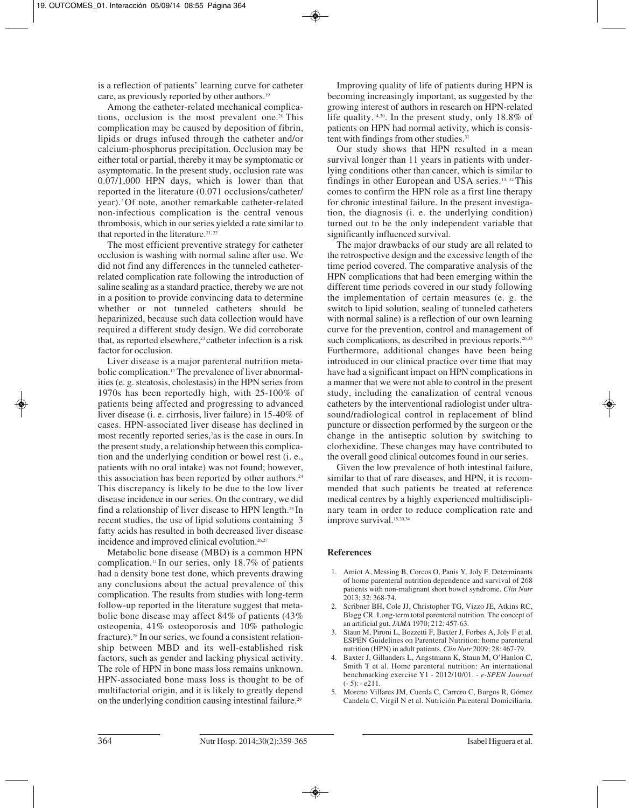is a reflection of patients' learning curve for catheter care, as previously reported by other authors.19

Among the catheter-related mechanical complications, occlusion is the most prevalent one.<sup>20</sup> This complication may be caused by deposition of fibrin, lipids or drugs infused through the catheter and/or calcium-phosphorus precipitation. Occlusion may be either total or partial, thereby it may be symptomatic or asymptomatic. In the present study, occlusion rate was 0.07/1,000 HPN days, which is lower than that reported in the literature (0.071 occlusions/catheter/ year).7 Of note, another remarkable catheter-related non-infectious complication is the central venous thrombosis, which in our series yielded a rate similar to that reported in the literature.<sup>21,22</sup>

The most efficient preventive strategy for catheter occlusion is washing with normal saline after use. We did not find any differences in the tunneled catheterrelated complication rate following the introduction of saline sealing as a standard practice, thereby we are not in a position to provide convincing data to determine whether or not tunneled catheters should be heparinized, because such data collection would have required a different study design. We did corroborate that, as reported elsewhere,<sup>23</sup> catheter infection is a risk factor for occlusion.

Liver disease is a major parenteral nutrition metabolic complication.12 The prevalence of liver abnormalities (e. g. steatosis, cholestasis) in the HPN series from 1970s has been reportedly high, with 25-100% of patients being affected and progressing to advanced liver disease (i. e. cirrhosis, liver failure) in 15-40% of cases. HPN-associated liver disease has declined in most recently reported series,<sup>7</sup> as is the case in ours. In the present study, a relationship between this complication and the underlying condition or bowel rest (i. e., patients with no oral intake) was not found; however, this association has been reported by other authors.<sup>24</sup> This discrepancy is likely to be due to the low liver disease incidence in our series. On the contrary, we did find a relationship of liver disease to HPN length.25 In recent studies, the use of lipid solutions containing 3 fatty acids has resulted in both decreased liver disease incidence and improved clinical evolution.<sup>26,27</sup>

Metabolic bone disease (MBD) is a common HPN complication.11 In our series, only 18.7% of patients had a density bone test done, which prevents drawing any conclusions about the actual prevalence of this complication. The results from studies with long-term follow-up reported in the literature suggest that metabolic bone disease may affect 84% of patients (43% osteopenia, 41% osteoporosis and 10% pathologic fracture).28 In our series, we found a consistent relationship between MBD and its well-established risk factors, such as gender and lacking physical activity. The role of HPN in bone mass loss remains unknown. HPN-associated bone mass loss is thought to be of multifactorial origin, and it is likely to greatly depend on the underlying condition causing intestinal failure.<sup>29</sup>

Improving quality of life of patients during HPN is becoming increasingly important, as suggested by the growing interest of authors in research on HPN-related life quality.14,30. In the present study, only 18.8% of patients on HPN had normal activity, which is consistent with findings from other studies.<sup>31</sup>

Our study shows that HPN resulted in a mean survival longer than 11 years in patients with underlying conditions other than cancer, which is similar to findings in other European and USA series.13, 32 This comes to confirm the HPN role as a first line therapy for chronic intestinal failure. In the present investigation, the diagnosis (i. e. the underlying condition) turned out to be the only independent variable that significantly influenced survival.

The major drawbacks of our study are all related to the retrospective design and the excessive length of the time period covered. The comparative analysis of the HPN complications that had been emerging within the different time periods covered in our study following the implementation of certain measures (e. g. the switch to lipid solution, sealing of tunneled catheters with normal saline) is a reflection of our own learning curve for the prevention, control and management of such complications, as described in previous reports.<sup>20,33</sup> Furthermore, additional changes have been being introduced in our clinical practice over time that may have had a significant impact on HPN complications in a manner that we were not able to control in the present study, including the canalization of central venous catheters by the interventional radiologist under ultrasound/radiological control in replacement of blind puncture or dissection performed by the surgeon or the change in the antiseptic solution by switching to clorhexidine. These changes may have contributed to the overall good clinical outcomes found in our series.

Given the low prevalence of both intestinal failure, similar to that of rare diseases, and HPN, it is recommended that such patients be treated at reference medical centres by a highly experienced multidisciplinary team in order to reduce complication rate and improve survival.<sup>15,20,34</sup>

## **References**

- 1. Amiot A, Messing B, Corcos O, Panis Y, Joly F. Determinants of home parenteral nutrition dependence and survival of 268 patients with non-malignant short bowel syndrome. *Clin Nutr* 2013; 32: 368-74.
- 2. Scribner BH, Cole JJ, Christopher TG, Vizzo JE, Atkins RC, Blagg CR. Long-term total parenteral nutrition. The concept of an artificial gut. *JAMA* 1970; 212: 457-63.
- Staun M, Pironi L, Bozzetti F, Baxter J, Forbes A, Joly F et al. ESPEN Guidelines on Parenteral Nutrition: home parenteral nutrition (HPN) in adult patients. *Clin Nutr* 2009; 28: 467-79.
- 4. Baxter J, Gillanders L, Angstmann K, Staun M, O'Hanlon C, Smith T et al. Home parenteral nutrition: An international benchmarking exercise Y1 - 2012/10/01. *- e-SPEN Journal* (- 5): - e211.
- 5. Moreno Villares JM, Cuerda C, Carrero C, Burgos R, Gómez Candela C, Virgil N et al. Nutrición Parenteral Domiciliaria.